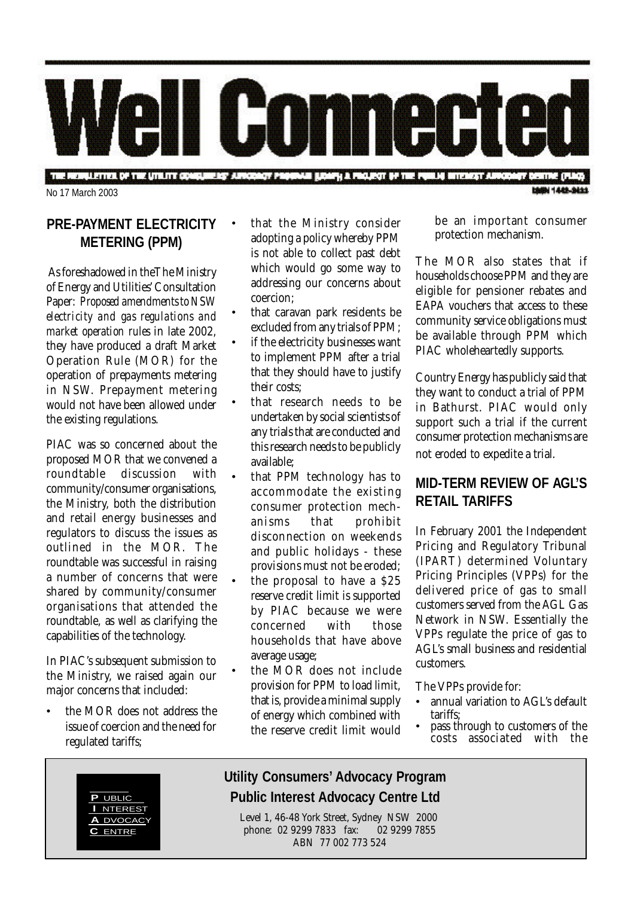

THE REDUCTION OF THE UTILITY ODISQUIRING AUTODOXY PROGRAM BRANCH & PROJECT OF THE PURCH WITHOUT AUTOROFF DESTINE (FLASH No 17 March 2003

## **PRE-PAYMENT ELECTRICITY METERING (PPM)**

 As foreshadowed in theThe Ministry of Energy and Utilities' Consultation Paper: *Proposed amendments to NSW electricity and gas regulations and market operation rules* in late 2002, they have produced a draft Market Operation Rule (MOR) for the operation of prepayments metering in NSW. Prepayment metering would not have been allowed under the existing regulations.

PIAC was so concerned about the proposed MOR that we convened a roundtable discussion with community/consumer organisations, the Ministry, both the distribution and retail energy businesses and regulators to discuss the issues as outlined in the MOR. The roundtable was successful in raising a number of concerns that were shared by community/consumer organisations that attended the roundtable, as well as clarifying the capabilities of the technology.

In PIAC's subsequent submission to the Ministry, we raised again our major concerns that included:

• the MOR does not address the issue of coercion and the need for regulated tariffs;

- that the Ministry consider adopting a policy whereby PPM is not able to collect past debt which would go some way to addressing our concerns about coercion;
- that caravan park residents be excluded from any trials of PPM;
- if the electricity businesses want to implement PPM after a trial that they should have to justify their costs;
- that research needs to be undertaken by social scientists of any trials that are conducted and this research needs to be publicly available;
- that PPM technology has to accommodate the existing consumer protection mechanisms that prohibit disconnection on weekends and public holidays - these provisions must not be eroded;
- the proposal to have a \$25 reserve credit limit is supported by PIAC because we were concerned with those households that have above average usage;
- the MOR does not include provision for PPM to load limit, that is, provide a minimal supply of energy which combined with the reserve credit limit would

be an important consumer protection mechanism.

The MOR also states that if households choose PPM and they are eligible for pensioner rebates and EAPA vouchers that access to these community service obligations must be available through PPM which PIAC wholeheartedly supports.

Country Energy has publicly said that they want to conduct a trial of PPM in Bathurst. PIAC would only support such a trial if the current consumer protection mechanisms are not eroded to expedite a trial.

## **MID-TERM REVIEW OF AGL'S RETAIL TARIFFS**

In February 2001 the Independent Pricing and Regulatory Tribunal (IPART) determined Voluntary Pricing Principles (VPPs) for the delivered price of gas to small customers served from the AGL Gas Network in NSW. Essentially the VPPs regulate the price of gas to AGL's small business and residential customers.

The VPPs provide for:

- annual variation to AGL's default tariffs;
- pass through to customers of the costs associated with the



# **Utility Consumers' Advocacy Program PUBLIC PUBLIC PUblic Interest Advocacy Centre Ltd**

Level 1, 46-48 York Street, Sydney NSW 2000 phone: 02 9299 7833 fax: 02 9299 7855 ABN 77 002 773 524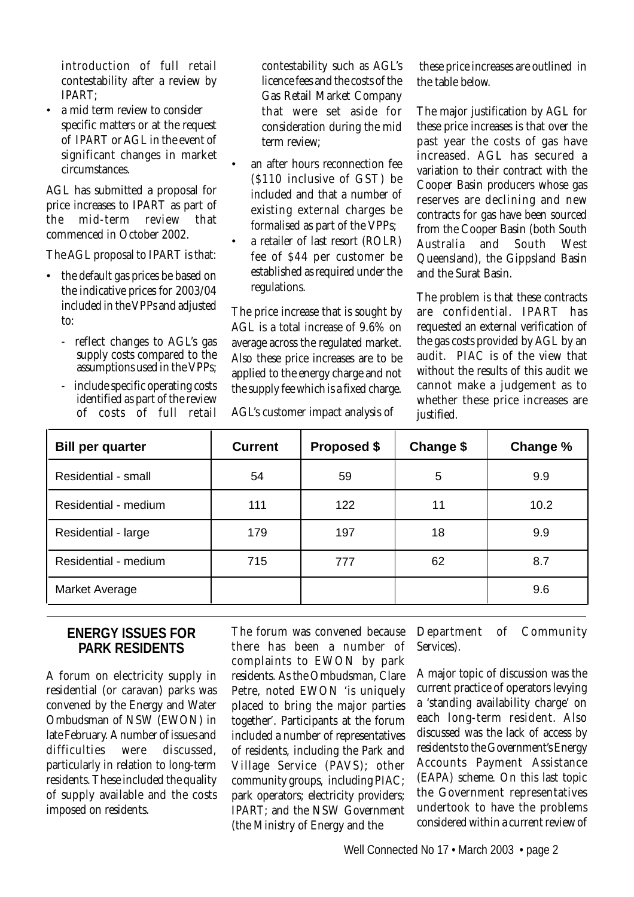introduction of full retail contestability after a review by IPART;

• a mid term review to consider specific matters or at the request of IPART or AGL in the event of significant changes in market circumstances.

AGL has submitted a proposal for price increases to IPART as part of the mid-term review that commenced in October 2002.

The AGL proposal to IPART is that:

- the default gas prices be based on the indicative prices for 2003/04 included in the VPPs and adjusted to:
	- reflect changes to AGL's gas supply costs compared to the assumptions used in the VPPs;
	- include specific operating costs identified as part of the review of costs of full retail

contestability such as AGL's licence fees and the costs of the Gas Retail Market Company that were set aside for consideration during the mid term review;

- an after hours reconnection fee (\$110 inclusive of GST) be included and that a number of existing external charges be formalised as part of the VPPs;
- a retailer of last resort (ROLR) fee of \$44 per customer be established as required under the regulations.

The price increase that is sought by AGL is a total increase of 9.6% on average across the regulated market. Also these price increases are to be applied to the energy charge and not the supply fee which is a fixed charge.

AGL's customer impact analysis of

 these price increases are outlined in the table below.

The major justification by AGL for these price increases is that over the past year the costs of gas have increased. AGL has secured a variation to their contract with the Cooper Basin producers whose gas reserves are declining and new contracts for gas have been sourced from the Cooper Basin (both South Australia and South West Queensland), the Gippsland Basin and the Surat Basin.

The problem is that these contracts are confidential. IPART has requested an external verification of the gas costs provided by AGL by an audit. PIAC is of the view that without the results of this audit we cannot make a judgement as to whether these price increases are justified.

| <b>Bill per quarter</b> | <b>Current</b> | <b>Proposed \$</b> | Change \$ | Change % |
|-------------------------|----------------|--------------------|-----------|----------|
| Residential - small     | 54             | 59                 | 5         | 9.9      |
| Residential - medium    | 111            | 122                | 11        | 10.2     |
| Residential - large     | 179            | 197                | 18        | 9.9      |
| Residential - medium    | 715            | 777                | 62        | 8.7      |
| Market Average          |                |                    |           | 9.6      |

#### **ENERGY ISSUES FOR PARK RESIDENTS**

A forum on electricity supply in residential (or caravan) parks was convened by the Energy and Water Ombudsman of NSW (EWON) in late February. A number of issues and difficulties were discussed, particularly in relation to long-term residents. These included the quality of supply available and the costs imposed on residents.

The forum was convened because there has been a number of complaints to EWON by park residents. As the Ombudsman, Clare Petre, noted EWON 'is uniquely placed to bring the major parties together'. Participants at the forum included a number of representatives of residents, including the Park and Village Service (PAVS); other community groups, including PIAC; park operators; electricity providers; IPART; and the NSW Government (the Ministry of Energy and the

Department of Community Services).

A major topic of discussion was the current practice of operators levying a 'standing availability charge' on each long-term resident. Also discussed was the lack of access by residents to the Government's Energy Accounts Payment Assistance (EAPA) scheme. On this last topic the Government representatives undertook to have the problems considered within a current review of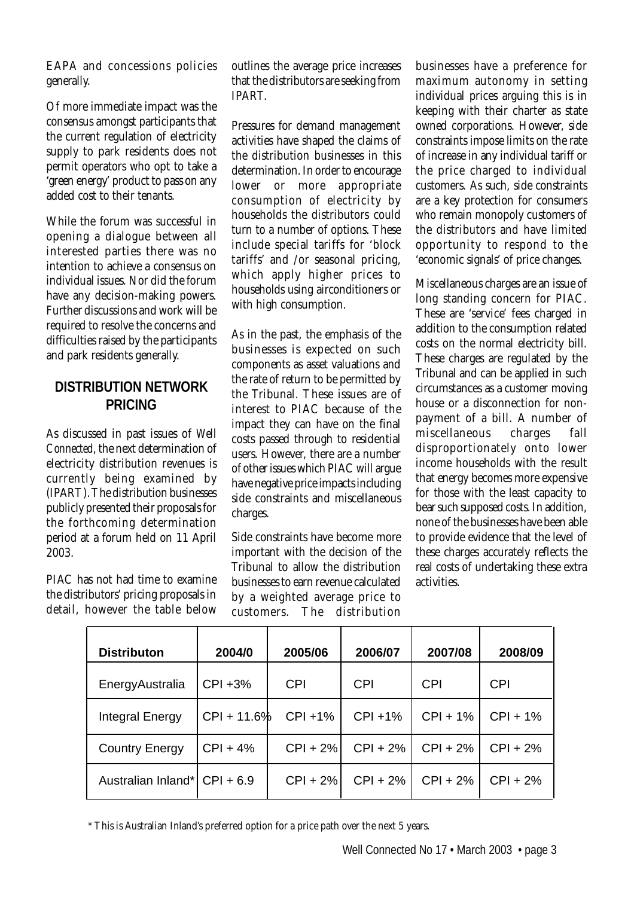EAPA and concessions policies generally.

Of more immediate impact was the consensus amongst participants that the current regulation of electricity supply to park residents does not permit operators who opt to take a 'green energy' product to pass on any added cost to their tenants.

While the forum was successful in opening a dialogue between all interested parties there was no intention to achieve a consensus on individual issues. Nor did the forum have any decision-making powers. Further discussions and work will be required to resolve the concerns and difficulties raised by the participants and park residents generally.

### **DISTRIBUTION NETWORK PRICING**

As discussed in past issues of *Well Connected*, the next determination of electricity distribution revenues is currently being examined by (IPART). The distribution businesses publicly presented their proposals for the forthcoming determination period at a forum held on 11 April 2003.

PIAC has not had time to examine the distributors' pricing proposals in detail, however the table below

outlines the average price increases that the distributors are seeking from IPART.

Pressures for demand management activities have shaped the claims of the distribution businesses in this determination. In order to encourage lower or more appropriate consumption of electricity by households the distributors could turn to a number of options. These include special tariffs for 'block tariffs' and /or seasonal pricing, which apply higher prices to households using airconditioners or with high consumption.

As in the past, the emphasis of the businesses is expected on such components as asset valuations and the rate of return to be permitted by the Tribunal. These issues are of interest to PIAC because of the impact they can have on the final costs passed through to residential users. However, there are a number of other issues which PIAC will argue have negative price impacts including side constraints and miscellaneous charges.

Side constraints have become more important with the decision of the Tribunal to allow the distribution businesses to earn revenue calculated by a weighted average price to customers. The distribution

businesses have a preference for maximum autonomy in setting individual prices arguing this is in keeping with their charter as state owned corporations. However, side constraints impose limits on the rate of increase in any individual tariff or the price charged to individual customers. As such, side constraints are a key protection for consumers who remain monopoly customers of the distributors and have limited opportunity to respond to the 'economic signals' of price changes.

Miscellaneous charges are an issue of long standing concern for PIAC. These are 'service' fees charged in addition to the consumption related costs on the normal electricity bill. These charges are regulated by the Tribunal and can be applied in such circumstances as a customer moving house or a disconnection for nonpayment of a bill. A number of miscellaneous charges fall disproportionately onto lower income households with the result that energy becomes more expensive for those with the least capacity to bear such supposed costs. In addition, none of the businesses have been able to provide evidence that the level of these charges accurately reflects the real costs of undertaking these extra activities.

| <b>Distributon</b>           | 2004/0      | 2005/06     | 2006/07    | 2007/08    | 2008/09    |
|------------------------------|-------------|-------------|------------|------------|------------|
| EnergyAustralia              | $CPI + 3%$  | <b>CPI</b>  | <b>CPI</b> | <b>CPI</b> | <b>CPI</b> |
| Integral Energy              | CPI + 11.6% | $CPI + 1%$  | $CPI + 1%$ | $CPI + 1%$ | $CPI + 1%$ |
| <b>Country Energy</b>        | $CPI + 4%$  | $CPI + 2\%$ | $CPI + 2%$ | $CPI + 2%$ | $CPI + 2%$ |
| Australian Inland* CPI + 6.9 |             | $CPI + 2\%$ | $CPI + 2%$ | $CPI + 2%$ | $CPI + 2%$ |

\* This is Australian Inland's preferred option for a price path over the next 5 years.